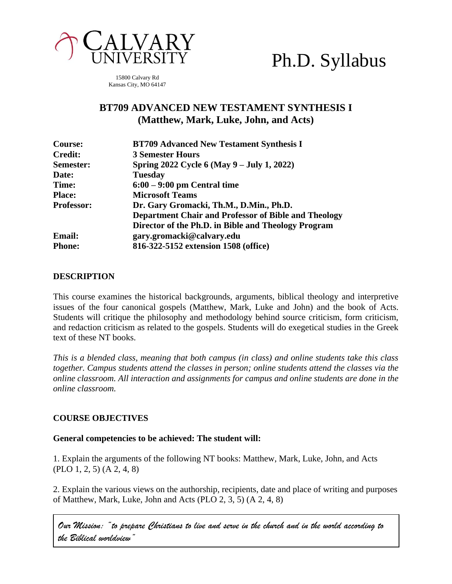

# Ph.D. Syllabus

15800 Calvary Rd Kansas City, MO 64147

# **BT709 ADVANCED NEW TESTAMENT SYNTHESIS I (Matthew, Mark, Luke, John, and Acts)**

| Course:           | <b>BT709 Advanced New Testament Synthesis I</b>      |
|-------------------|------------------------------------------------------|
| <b>Credit:</b>    | <b>3 Semester Hours</b>                              |
| Semester:         | Spring 2022 Cycle 6 (May 9 – July 1, 2022)           |
| Date:             | <b>Tuesday</b>                                       |
| Time:             | $6:00 - 9:00$ pm Central time                        |
| <b>Place:</b>     | <b>Microsoft Teams</b>                               |
| <b>Professor:</b> | Dr. Gary Gromacki, Th.M., D.Min., Ph.D.              |
|                   | Department Chair and Professor of Bible and Theology |
|                   | Director of the Ph.D. in Bible and Theology Program  |
| <b>Email:</b>     | gary.gromacki@calvary.edu                            |
| <b>Phone:</b>     | 816-322-5152 extension 1508 (office)                 |

# **DESCRIPTION**

This course examines the historical backgrounds, arguments, biblical theology and interpretive issues of the four canonical gospels (Matthew, Mark, Luke and John) and the book of Acts. Students will critique the philosophy and methodology behind source criticism, form criticism, and redaction criticism as related to the gospels. Students will do exegetical studies in the Greek text of these NT books.

*This is a blended class, meaning that both campus (in class) and online students take this class together. Campus students attend the classes in person; online students attend the classes via the online classroom. All interaction and assignments for campus and online students are done in the online classroom.*

# **COURSE OBJECTIVES**

#### **General competencies to be achieved: The student will:**

1. Explain the arguments of the following NT books: Matthew, Mark, Luke, John, and Acts (PLO 1, 2, 5) (A 2, 4, 8)

2. Explain the various views on the authorship, recipients, date and place of writing and purposes of Matthew, Mark, Luke, John and Acts (PLO 2, 3, 5) (A 2, 4, 8)

*Our Mission: "to prepare Christians to live and serve in the church and in the world according to the Biblical worldview"*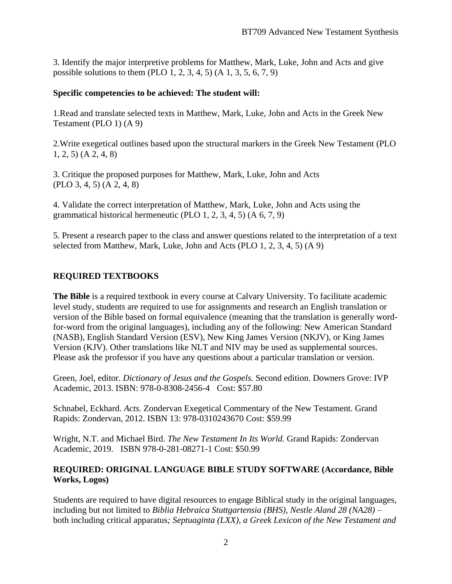3. Identify the major interpretive problems for Matthew, Mark, Luke, John and Acts and give possible solutions to them (PLO 1, 2, 3, 4, 5) (A 1, 3, 5, 6, 7, 9)

#### **Specific competencies to be achieved: The student will:**

1.Read and translate selected texts in Matthew, Mark, Luke, John and Acts in the Greek New Testament (PLO 1) (A 9)

2.Write exegetical outlines based upon the structural markers in the Greek New Testament (PLO 1, 2, 5) (A 2, 4, 8)

3. Critique the proposed purposes for Matthew, Mark, Luke, John and Acts (PLO 3, 4, 5) (A 2, 4, 8)

4. Validate the correct interpretation of Matthew, Mark, Luke, John and Acts using the grammatical historical hermeneutic (PLO 1, 2, 3, 4, 5) (A 6, 7, 9)

5. Present a research paper to the class and answer questions related to the interpretation of a text selected from Matthew, Mark, Luke, John and Acts (PLO 1, 2, 3, 4, 5) (A 9)

# **REQUIRED TEXTBOOKS**

**The Bible** is a required textbook in every course at Calvary University. To facilitate academic level study, students are required to use for assignments and research an English translation or version of the Bible based on formal equivalence (meaning that the translation is generally wordfor-word from the original languages), including any of the following: New American Standard (NASB), English Standard Version (ESV), New King James Version (NKJV), or King James Version (KJV). Other translations like NLT and NIV may be used as supplemental sources. Please ask the professor if you have any questions about a particular translation or version.

Green, Joel, editor. *Dictionary of Jesus and the Gospels.* Second edition. Downers Grove: IVP Academic, 2013. ISBN: 978-0-8308-2456-4 Cost: \$57.80

Schnabel, Eckhard. *Acts.* Zondervan Exegetical Commentary of the New Testament. Grand Rapids: Zondervan, 2012. ISBN 13: 978-0310243670 Cost: \$59.99

Wright, N.T. and Michael Bird. *The New Testament In Its World.* Grand Rapids: Zondervan Academic, 2019. ISBN 978-0-281-08271-1 Cost: \$50.99

# **REQUIRED: ORIGINAL LANGUAGE BIBLE STUDY SOFTWARE (Accordance, Bible Works, Logos)**

Students are required to have digital resources to engage Biblical study in the original languages, including but not limited to *Biblia Hebraica Stuttgartensia (BHS), Nestle Aland 28 (NA28) –* both including critical apparatus*; Septuaginta (LXX), a Greek Lexicon of the New Testament and*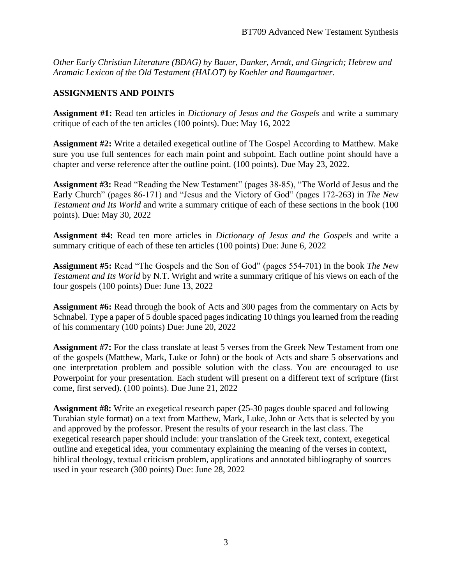*Other Early Christian Literature (BDAG) by Bauer, Danker, Arndt, and Gingrich; Hebrew and Aramaic Lexicon of the Old Testament (HALOT) by Koehler and Baumgartner.*

#### **ASSIGNMENTS AND POINTS**

**Assignment #1:** Read ten articles in *Dictionary of Jesus and the Gospels* and write a summary critique of each of the ten articles (100 points). Due: May 16, 2022

**Assignment #2:** Write a detailed exegetical outline of The Gospel According to Matthew. Make sure you use full sentences for each main point and subpoint. Each outline point should have a chapter and verse reference after the outline point. (100 points). Due May 23, 2022.

**Assignment #3:** Read "Reading the New Testament" (pages 38-85), "The World of Jesus and the Early Church" (pages 86-171) and "Jesus and the Victory of God" (pages 172-263) in *The New Testament and Its World* and write a summary critique of each of these sections in the book (100 points). Due: May 30, 2022

**Assignment #4:** Read ten more articles in *Dictionary of Jesus and the Gospels* and write a summary critique of each of these ten articles (100 points) Due: June 6, 2022

**Assignment #5:** Read "The Gospels and the Son of God" (pages 554-701) in the book *The New Testament and Its World* by N.T. Wright and write a summary critique of his views on each of the four gospels (100 points) Due: June 13, 2022

**Assignment #6:** Read through the book of Acts and 300 pages from the commentary on Acts by Schnabel. Type a paper of 5 double spaced pages indicating 10 things you learned from the reading of his commentary (100 points) Due: June 20, 2022

**Assignment #7:** For the class translate at least 5 verses from the Greek New Testament from one of the gospels (Matthew, Mark, Luke or John) or the book of Acts and share 5 observations and one interpretation problem and possible solution with the class. You are encouraged to use Powerpoint for your presentation. Each student will present on a different text of scripture (first come, first served). (100 points). Due June 21, 2022

**Assignment #8:** Write an exegetical research paper (25-30 pages double spaced and following Turabian style format) on a text from Matthew, Mark, Luke, John or Acts that is selected by you and approved by the professor. Present the results of your research in the last class. The exegetical research paper should include: your translation of the Greek text, context, exegetical outline and exegetical idea, your commentary explaining the meaning of the verses in context, biblical theology, textual criticism problem, applications and annotated bibliography of sources used in your research (300 points) Due: June 28, 2022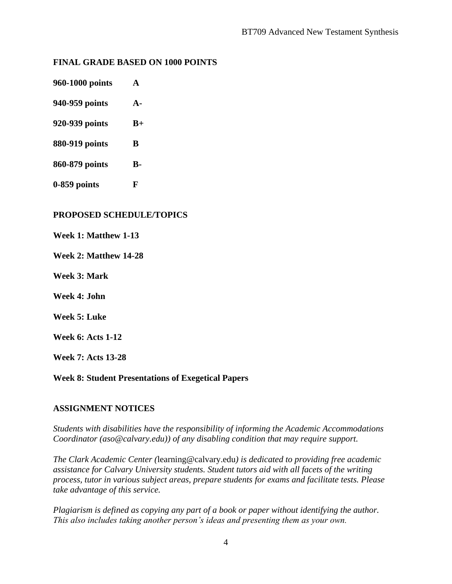# **FINAL GRADE BASED ON 1000 POINTS**

- **960-1000 points A**
- **940-959 points A-**
- **920-939 points B+**
- **880-919 points B**
- **860-879 points B-**
- **0-859 points F**

#### **PROPOSED SCHEDULE/TOPICS**

- **Week 1: Matthew 1-13**
- **Week 2: Matthew 14-28**
- **Week 3: Mark**
- **Week 4: John**
- **Week 5: Luke**

**Week 6: Acts 1-12**

**Week 7: Acts 13-28**

#### **Week 8: Student Presentations of Exegetical Papers**

# **ASSIGNMENT NOTICES**

*Students with disabilities have the responsibility of informing the Academic Accommodations Coordinator (aso@calvary.edu)) of any disabling condition that may require support.*

*The Clark Academic Center (*[learning@calvary.edu](mailto:learning@calvary.edu)*) is dedicated to providing free academic assistance for Calvary University students. Student tutors aid with all facets of the writing process, tutor in various subject areas, prepare students for exams and facilitate tests. Please take advantage of this service.*

*Plagiarism is defined as copying any part of a book or paper without identifying the author. This also includes taking another person's ideas and presenting them as your own.*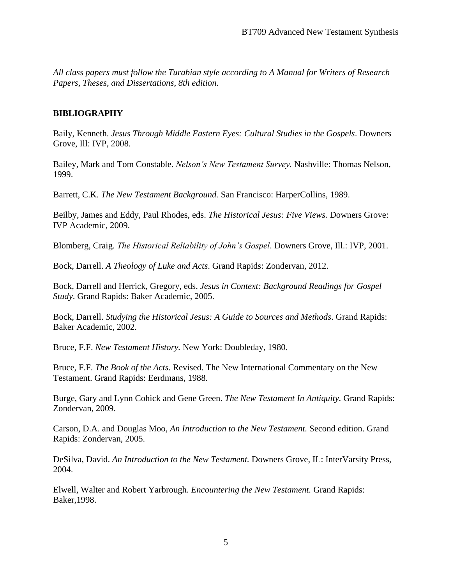*All class papers must follow the Turabian style according to A Manual for Writers of Research Papers, Theses, and Dissertations, 8th edition.*

#### **BIBLIOGRAPHY**

Baily, Kenneth. *Jesus Through Middle Eastern Eyes: Cultural Studies in the Gospels*. Downers Grove, Ill: IVP, 2008.

Bailey, Mark and Tom Constable. *Nelson's New Testament Survey.* Nashville: Thomas Nelson, 1999.

Barrett, C.K. *The New Testament Background.* San Francisco: HarperCollins, 1989.

Beilby, James and Eddy, Paul Rhodes, eds. *The Historical Jesus: Five Views.* Downers Grove: IVP Academic, 2009.

Blomberg, Craig. *The Historical Reliability of John's Gospel*. Downers Grove, Ill.: IVP, 2001.

Bock, Darrell. *A Theology of Luke and Acts*. Grand Rapids: Zondervan, 2012.

Bock, Darrell and Herrick, Gregory, eds. *Jesus in Context: Background Readings for Gospel Study*. Grand Rapids: Baker Academic, 2005.

Bock, Darrell. *Studying the Historical Jesus: A Guide to Sources and Methods*. Grand Rapids: Baker Academic, 2002.

Bruce, F.F. *New Testament History.* New York: Doubleday, 1980.

Bruce, F.F. *The Book of the Acts*. Revised. The New International Commentary on the New Testament. Grand Rapids: Eerdmans, 1988.

Burge, Gary and Lynn Cohick and Gene Green. *The New Testament In Antiquity.* Grand Rapids: Zondervan, 2009.

Carson, D.A. and Douglas Moo, *An Introduction to the New Testament.* Second edition. Grand Rapids: Zondervan, 2005.

DeSilva, David. *An Introduction to the New Testament.* Downers Grove, IL: InterVarsity Press, 2004.

Elwell, Walter and Robert Yarbrough. *Encountering the New Testament.* Grand Rapids: Baker,1998.